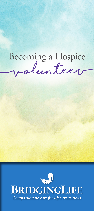# **(volunteer)** Becoming a Hospice

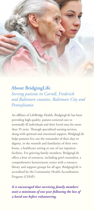### **About BridgingLife**

*Serving patients in Carroll, Frederick and Baltimore counties, Baltimore City and Pennsylvania*

An affiliate of LifeBridge Health, BridgingLife has been providing high-quality, patient-centered care to terminally ill individuals and their loved ones for more than 35 years. Through specialized nursing services, along with spiritual and emotional support, BridgingLife helps patients live out the remainder of their days in dignity, in the warmth and familiarity of their own home, a healthcare setting or one of our inpatient facilities. For grieving family members, BridgingLife offers a host of resources, including grief counselors, a comprehensive bereavement center with a resource library and support groups for all ages. BridgingLife is accredited by the Community Health Accreditation Program (CHAP).

*It is encouraged that surviving family members wait a minimum of one year following the loss of a loved one before volunteering.*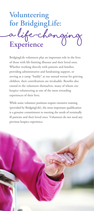**(a life-changing Volunteering for BridgingLife: Experience**

BridgingLife volunteers play an important role in the lives of those with life-limiting illnesses and their loved ones. Whether working directly with patients and families, providing administrative and fundraising support, or serving as a camp "buddy" at our annual retreat for grieving children, their contributions are invaluable. Benefits also extend to the volunteers themselves, many of whom cite hospice volunteering as one of the most rewarding experiences of their lives.

While some volunteer positions require extensive training (provided by BridgingLife), the most important qualification is a genuine commitment to meeting the needs of terminally ill patients and their loved ones. Volunteers do not need any previous hospice experience.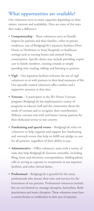### **What opportunities are available?**

Our volunteers serve in many capacities depending on their talents, interests and availability. Here are some of the ways they make a difference:

- **Companionship**  These volunteers serve as friendly helpers for patients and their families, either in private residences, one of BridgingLife's inpatient facilities (Dove House or Northwest or Sinai Hospitals) or healthcare settings such as nursing homes and assisted living communities. Specific duties may include providing respite care to family members, running errands or simply spending time reading, talking and listening to patients.
- **Vigil** Our inpatient facilities welcome the use of vigil volunteers to sit with patients in their final moments of life. Our specially trained volunteers offer comfort and a supportive presence at that time.
- **Veterans** A participant in the We Honor Veterans program, BridgingLife has implemented a variety of programs to educate staff and the community about the needs of veterans and to recognize their contributions. Military veterans visit with and honor veteran patients for their dedicated service to our country.
- **Fundraising and special events** BridgingLife relies on volunteers to help organize and support key fundraising and outreach events that help us fulfill our pledge to care for all patients, regardless of their ability to pay.
- **Administrative** Office volunteers assist with a variety of tasks that help BridgingLife function smoothly, including filing, letter and electronic correspondence, fielding phone calls or serving as a greeter or receptionist at our inpatient facilities, and other clerical duties.
- **Professional** BridgingLife is grateful for the many professionals who donate their time and services for the betterment of our patients. Professional volunteers include, but are not limited to, massage therapists, hairstylists, Reiki practitioners and music therapists. These volunteers must have a current license or certification in their area of expertise.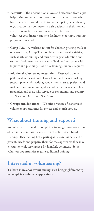- **Pet visits** The unconditional love and attention from a pet helps bring smiles and comfort to our patients. Those who have trained, or would like to train, their pet by a pet therapy organization may volunteer to visit patients in their homes, assisted living facilities or our inpatient facilities. The volunteer coordinator can help facilitate choosing a training program, if needed.
- **Camp T.R.**  A weekend retreat for children grieving the loss of a loved one, Camp T.R. combines recreational activities, such as art, swimming and music, with grief education and support. Volunteers serve as camp "buddies" and assist with logistics and planning. A one-day training session is required.
- **Additional volunteer opportunities** These tasks can be performed in the comfort of your home and include making support phone calls, writing handwritten notes to patients and staff, and creating meaningful keepsakes for our veterans, first responders and those who served our community and country as a Stars For Our Troops Star Maker.
- **Groups and donations** We offer a variety of customized volunteer opportunities for service and church groups.

#### **What about training and support?**

Volunteers are required to complete a training course consisting of two in-person classes and a series of online video-based training. This training helps participants better understand a patient's needs and prepares them for the experiences they may encounter while serving as a BridgingLife volunteer. Some volunteer opportunities require additional training.

## **Interested in volunteering?**

**To learn more about volunteering, visit bridginglifecare.org to complete a volunteer application.**